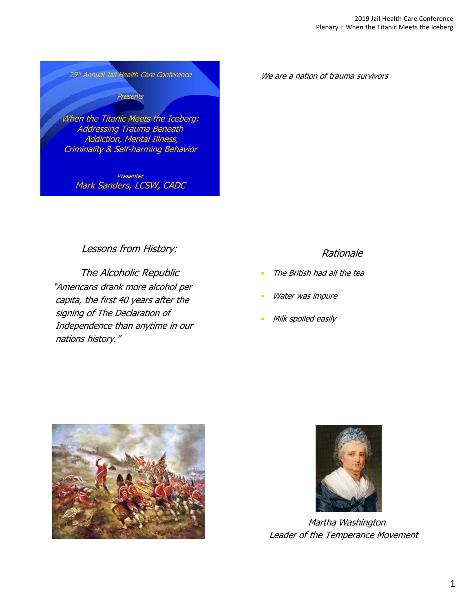

We are a nation of trauma survivors

Lessons from History:

Mark Sanders, LCSW, CADC

The Alcoholic Republic "Americans drank more alcohol per capita, the first 40 years after the signing of The Declaration of Independence than anytime in our nations history."

### Rationale

- The British had all the tea
- Water was impure
- Milk spoiled easily





Martha Washington Leader of the Temperance Movement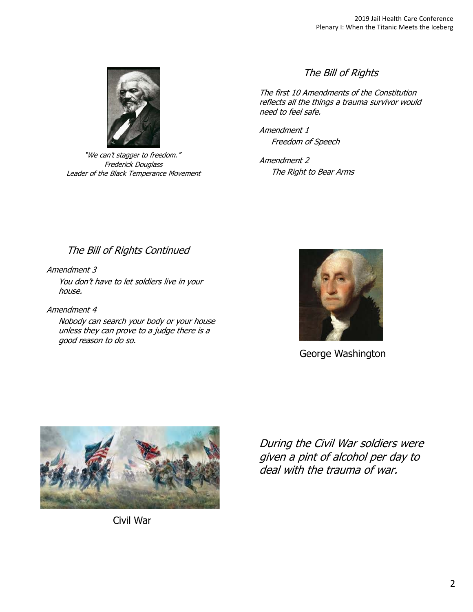

"We can't stagger to freedom." Frederick Douglass Leader of the Black Temperance Movement

## The Bill of Rights

The first 10 Amendments of the Constitution reflects all the things a trauma survivor would need to feel safe.

Amendment 1 Freedom of Speech

Amendment 2 The Right to Bear Arms

# The Bill of Rights Continued

Amendment 3 You don't have to let soldiers live in your house.

Amendment 4 Nobody can search your body or your house unless they can prove to a judge there is a good reason to do so.



George Washington



Civil War

During the Civil War soldiers were given a pint of alcohol per day to deal with the trauma of war.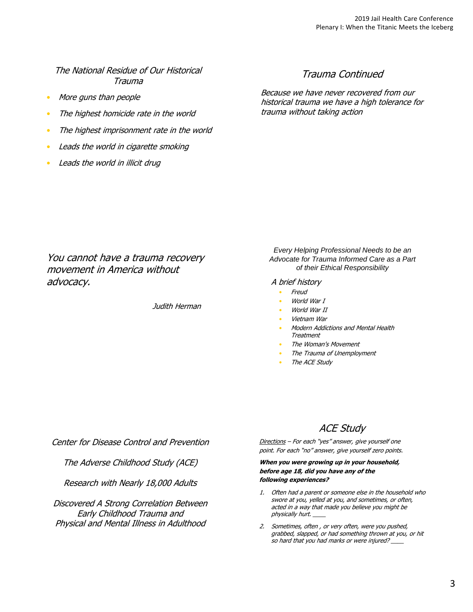#### The National Residue of Our Historical Trauma

- More guns than people
- The highest homicide rate in the world
- The highest imprisonment rate in the world
- Leads the world in cigarette smoking
- Leads the world in illicit drug

#### Trauma Continued

Because we have never recovered from our historical trauma we have a high tolerance for trauma without taking action

You cannot have a trauma recovery movement in America without advocacy.

Judith Herman

*Every Helping Professional Needs to be an Advocate for Trauma Informed Care as a Part of their Ethical Responsibility*

A brief history

- Freud
	- World War T
- World War II
- Vietnam War
- Modern Addictions and Mental Health Treatment
- The Woman's Movement
- The Trauma of Unemployment
- The ACE Study

Center for Disease Control and Prevention

The Adverse Childhood Study (ACE)

Research with Nearly 18,000 Adults

Discovered A Strong Correlation Between Early Childhood Trauma and Physical and Mental Illness in Adulthood

ACE Study

Directions - For each "yes" answer, give yourself one point. For each "no" answer, give yourself zero points.

**When you were growing up in your household, before age 18, did you have any of the following experiences?**

- 1. Often had a parent or someone else in the household who swore at you, yelled at you, and sometimes, or often, acted in a way that made you believe you might be physically hurt.
- 2. Sometimes, often , or very often, were you pushed, grabbed, slapped, or had something thrown at you, or hit so hard that you had marks or were injured?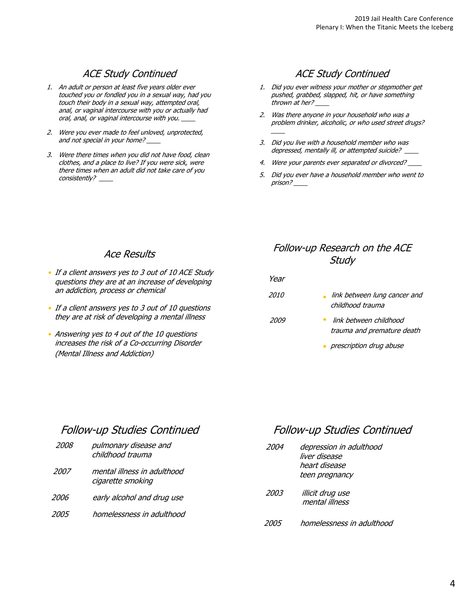# ACE Study Continued

- 1. An adult or person at least five years older ever touched you or fondled you in a sexual way, had you touch their body in a sexual way, attempted oral, anal, or vaginal intercourse with you or actually had oral, anal, or vaginal intercourse with you.
- 2. Were you ever made to feel unloved, unprotected, and not special in your home?
- 3. Were there times when you did not have food, clean clothes, and a place to live? If you were sick, were there times when an adult did not take care of you consistently? \_\_\_\_

## ACE Study Continued

- 1. Did you ever witness your mother or stepmother get pushed, grabbed, slapped, hit, or have something thrown at her?
- 2. Was there anyone in your household who was a problem drinker, alcoholic, or who used street drugs?
- 3. Did you live with a household member who was depressed, mentally ill, or attempted suicide? \_\_\_\_

\_\_\_\_\_\_\_

- 4. Were your parents ever separated or divorced?
- 5. Did you ever have a household member who went to prison? \_\_\_\_

#### Ace Results

- If a client answers yes to 3 out of 10 ACE Study questions they are at an increase of developing an addiction, process or chemical
- If a client answers yes to 3 out of 10 questions they are at risk of developing a mental illness
- Answering yes to 4 out of the 10 questions increases the risk of a Co-occurring Disorder (Mental Illness and Addiction)

## Follow-up Research on the ACE **Study**

| Year        |                                                  |
|-------------|--------------------------------------------------|
| <i>2010</i> | link between lung cancer and<br>childhood trauma |
| 2009        | link between childhood                           |

- trauma and premature death
- **•** prescription drug abuse

# Follow-up Studies Continued

| 2008 | pulmonary disease and<br>childhood trauma        |
|------|--------------------------------------------------|
| 2007 | mental illness in adulthood<br>cigarette smoking |
| 2006 | early alcohol and drug use                       |
| 2005 | homelessness in adulthood                        |
|      |                                                  |

# Follow-up Studies Continued

| 2004 | depression in adulthood<br>liver disease<br>heart disease<br>teen pregnancy |
|------|-----------------------------------------------------------------------------|
| 2003 | illicit drug use<br>mental illness                                          |
| 2005 | homelessness in adulthood                                                   |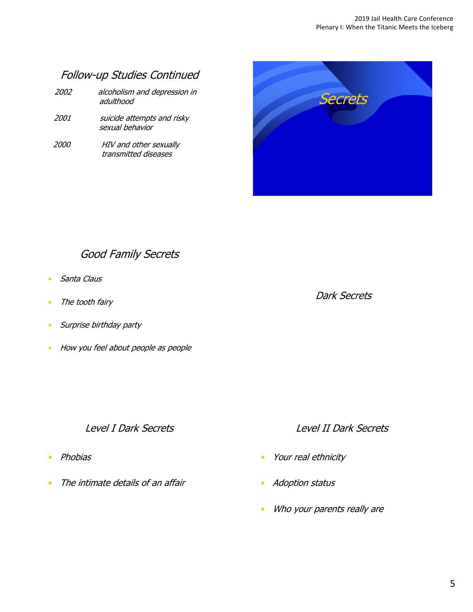# Follow-up Studies Continued

| <i>2002</i> | alcoholism and depression in |
|-------------|------------------------------|
|             | adulthood                    |

- 2001 suicide attempts and risky sexual behavior
- 2000 HIV and other sexually transmitted diseases



# Good Family Secrets

- Santa Claus
- The tooth fairy
- Surprise birthday party
- How you feel about people as people

### Level I Dark Secrets

- Phobias
- The intimate details of an affair

Dark Secrets

## Level II Dark Secrets

- Your real ethnicity
- Adoption status
- Who your parents really are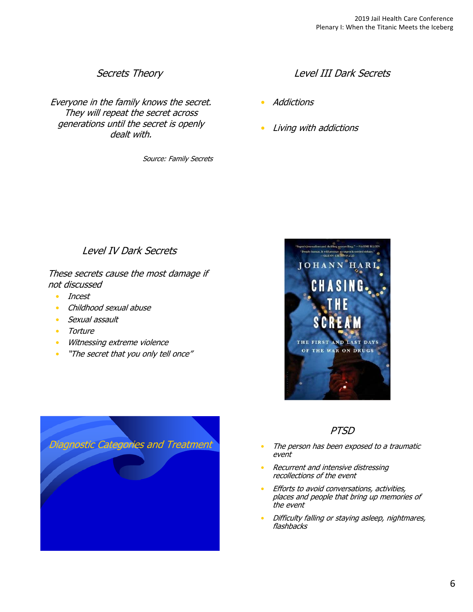## Secrets Theory

Everyone in the family knows the secret. They will repeat the secret across generations until the secret is openly dealt with.

Source: Family Secrets

## Level III Dark Secrets

- Addictions
- Living with addictions

## Level IV Dark Secrets

These secrets cause the most damage if not discussed

- Incest
- Childhood sexual abuse
- Sexual assault
- Torture
- Witnessing extreme violence
- "The secret that you only tell once"





- The person has been exposed to a traumatic event
- Recurrent and intensive distressing recollections of the event
- Efforts to avoid conversations, activities, places and people that bring up memories of the event
- Difficulty falling or staying asleep, nightmares, flashbacks

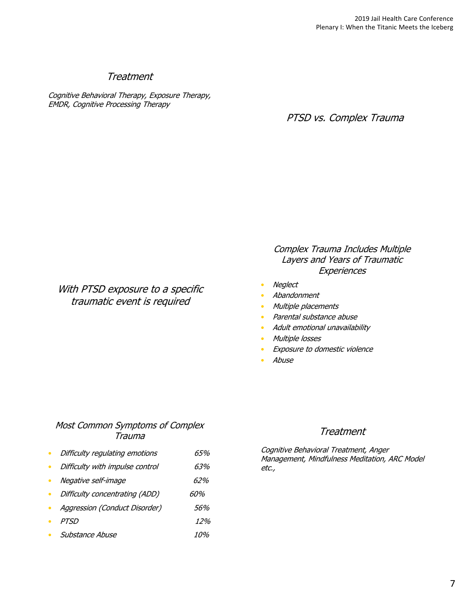## **Treatment**

Cognitive Behavioral Therapy, Exposure Therapy, EMDR, Cognitive Processing Therapy

PTSD vs. Complex Trauma

### Complex Trauma Includes Multiple Layers and Years of Traumatic **Experiences**

- Neglect
- Abandonment
- Multiple placements
- Parental substance abuse
- Adult emotional unavailability
- Multiple losses
- **Exposure to domestic violence**
- Abuse

#### Most Common Symptoms of Complex Trauma

With PTSD exposure to a specific traumatic event is required

- Difficulty regulating emotions 65%
- Difficulty with impulse control 63%
- Negative self-image 62%
- Difficulty concentrating (ADD) 60%
- Aggression (Conduct Disorder) 56%
- PTSD 12%
- Substance Abuse 10%

#### Treatment

Cognitive Behavioral Treatment, Anger Management, Mindfulness Meditation, ARC Model etc.,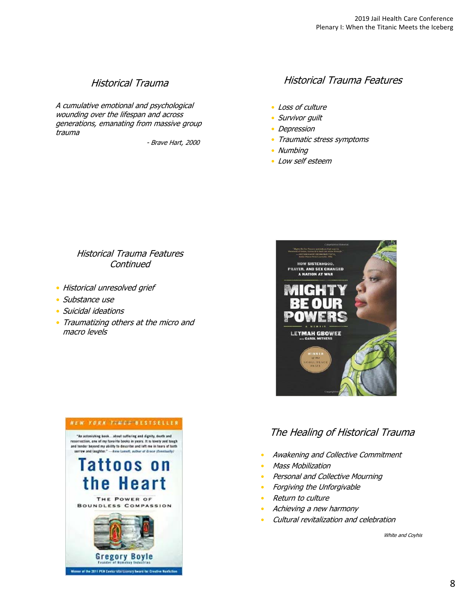## Historical Trauma

A cumulative emotional and psychological wounding over the lifespan and across generations, emanating from massive group trauma

- Brave Hart, 2000

## Historical Trauma Features

- Loss of culture
- Survivor quilt
- Depression
- Traumatic stress symptoms
- Numbing
- Low self esteem

### Historical Trauma Features **Continued**

- Historical unresolved grief
- Substance use
- Suicidal ideations
- Traumatizing others at the micro and macro levels





# The Healing of Historical Trauma

- Awakening and Collective Commitment
- Mass Mobilization
- Personal and Collective Mourning
- Forgiving the Unforgivable
- Return to culture
- Achieving a new harmony
- Cultural revitalization and celebration

White and Coyhis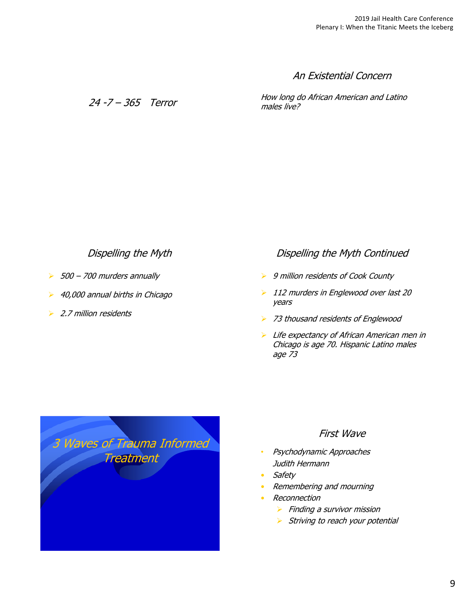An Existential Concern

24 -7 – 365 Terror

How long do African American and Latino males live?

## Dispelling the Myth

- $500 700$  murders annually
- 40,000 annual births in Chicago
- ▶ 2.7 million residents

### Dispelling the Myth Continued

- **▶** 9 million residents of Cook County
- ▶ 112 murders in Englewood over last 20 years
- 73 thousand residents of Englewood
- $\blacktriangleright$  Life expectancy of African American men in Chicago is age 70. Hispanic Latino males age 73



#### First Wave

- Psychodynamic Approaches Judith Hermann
- Safety
- Remembering and mourning
- Reconnection
	- $\triangleright$  Finding a survivor mission
	- $\triangleright$  Striving to reach your potential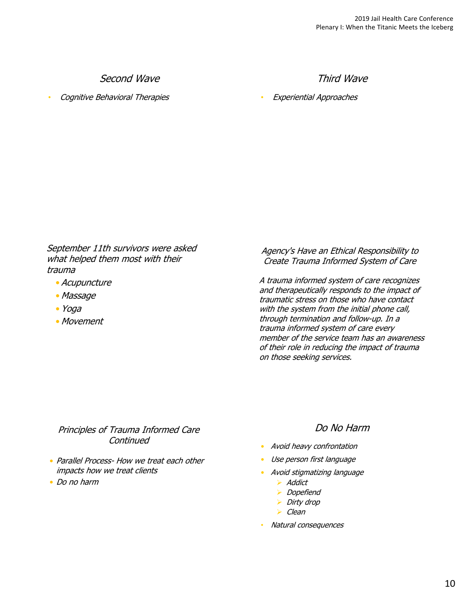Second Wave

• Cognitive Behavioral Therapies

Third Wave

• Experiential Approaches

September 11th survivors were asked what helped them most with their trauma

- Acupuncture
- Massage
- Yoga
- Movement

Agency's Have an Ethical Responsibility to Create Trauma Informed System of Care

A trauma informed system of care recognizes and therapeutically responds to the impact of traumatic stress on those who have contact with the system from the initial phone call, through termination and follow-up. In a trauma informed system of care every member of the service team has an awareness of their role in reducing the impact of trauma on those seeking services.

### Principles of Trauma Informed Care **Continued**

- Parallel Process- How we treat each other impacts how we treat clients
- Do no harm

## Do No Harm

- Avoid heavy confrontation
- Use person first language
- Avoid stigmatizing language
	- > Addict
	- **Dopefiend**
	- $\triangleright$  Dirty drop
	- $\triangleright$  Clean
- Natural consequences